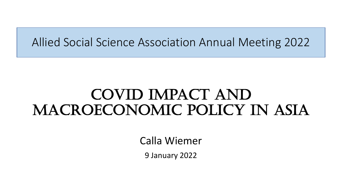# Allied Social Science Association Annual Meeting 2022

# Covid Impact and MACROECONOMIC POLICY IN ASIA

Calla Wiemer

9 January 2022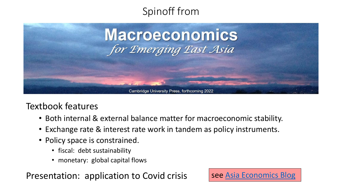



### Textbook features

- Both internal & external balance matter for macroeconomic stability.
- Exchange rate & interest rate work in tandem as policy instruments.
- Policy space is constrained.
	- fiscal: debt sustainability
	- monetary: global capital flows

Presentation: application to Covid crisis  $\left| \right|$  see [Asia Economics Blog](http://acaes.us/blog)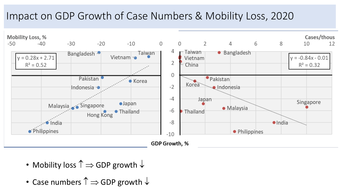### Impact on GDP Growth of Case Numbers & Mobility Loss, 2020



- Mobility loss  $\hat{\Gamma} \Rightarrow$  GDP growth  $\downarrow$
- Case numbers  $\uparrow \Rightarrow$  GDP growth  $\downarrow$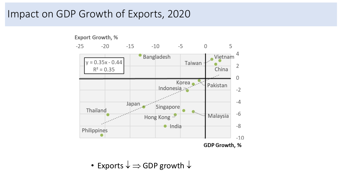### Impact on GDP Growth of Exports, 2020



• Exports  $\downarrow \Rightarrow$  GDP growth  $\downarrow$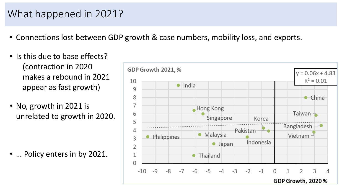# What happened in 2021?

- Connections lost between GDP growth & case numbers, mobility loss, and exports.
- Is this due to base effects? (contraction in 2020 makes a rebound in 2021 appear as fast growth)
- No, growth in 2021 is unrelated to growth in 2020.

• ... Policy enters in by 2021.

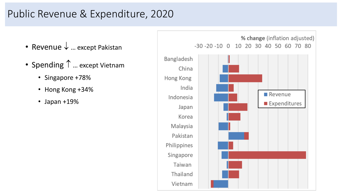# Public Revenue & Expenditure, 2020

- Revenue  $\downarrow$  ... except Pakistan
- Spending 1 ... except Vietnam
	- Singapore +78%
	- Hong Kong +34%
	- Japan +19%

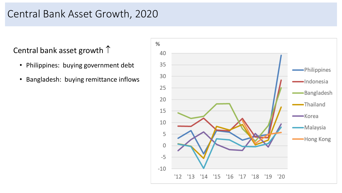### Central Bank Asset Growth, 2020

Central bank asset growth  $\uparrow$ 

- Philippines: buying government debt
- Bangladesh: buying remittance inflows

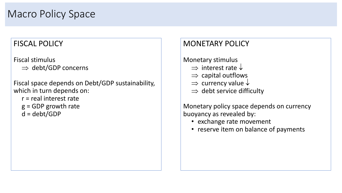#### FISCAL POLICY

Fiscal stimulus

 $\Rightarrow$  debt/GDP concerns

Fiscal space depends on Debt/GDP sustainability, which in turn depends on:

- r = real interest rate
- g = GDP growth rate
- d = debt/GDP

#### MONETARY POLICY

#### Monetary stimulus

- $\Rightarrow$  interest rate  $\downarrow$
- $\Rightarrow$  capital outflows
- $\Rightarrow$  currency value  $\downarrow$
- $\Rightarrow$  debt service difficulty

Monetary policy space depends on currency buoyancy as revealed by:

- exchange rate movement
- reserve item on balance of payments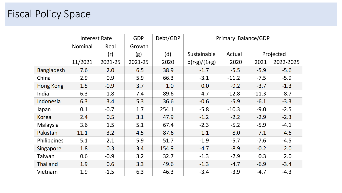## Fiscal Policy Space

|                   | <b>Interest Rate</b> |         | <b>GDP</b> | Debt/GDP | Primary Balance/GDP |         |           |           |
|-------------------|----------------------|---------|------------|----------|---------------------|---------|-----------|-----------|
|                   | Nominal              | Real    | Growth     |          |                     |         |           |           |
|                   |                      | (r)     | (g)        | (d)      | Sustainable         | Actual  | Projected |           |
|                   | 11/2021              | 2021-25 | 2021-25    | 2020     | $d(r-g)/(1+g)$      | 2020    | 2021      | 2022-2025 |
| <b>Bangladesh</b> | 7.6                  | 2.0     | 6.5        | 38.9     | $-1.7$              | $-5.5$  | $-5.9$    | $-5.6$    |
| China             | 2.9                  | 0.9     | 5.9        | 66.3     | $-3.1$              | $-11.2$ | $-7.5$    | $-5.9$    |
| Hong Kong         | 1.5                  | $-0.9$  | 3.7        | 1.0      | 0.0                 | $-9.2$  | $-3.7$    | $-1.3$    |
| India             | 6.3                  | 1.8     | 7.4        | 89.6     | $-4.7$              | $-12.8$ | $-11.3$   | $-8.7$    |
| Indonesia         | 6.3                  | 3.4     | 5.3        | 36.6     | $-0.6$              | $-5.9$  | $-6.1$    | $-3.3$    |
| Japan             | 0.1                  | $-0.7$  | 1.7        | 254.1    | $-5.8$              | $-10.3$ | $-9.0$    | $-2.5$    |
| <b>Korea</b>      | 2.4                  | 0.5     | 3.1        | 47.9     | $-1.2$              | $-2.2$  | $-2.9$    | $-2.3$    |
| Malaysia          | 3.6                  | 1.5     | 5.1        | 67.4     | $-2.3$              | $-5.2$  | $-5.9$    | $-4.1$    |
| Pakistan          | 11.1                 | 3.2     | 4.5        | 87.6     | $-1.1$              | $-8.0$  | $-7.1$    | $-4.6$    |
| Philippines       | 5.1                  | 2.1     | 5.9        | 51.7     | $-1.9$              | $-5.7$  | $-7.6$    | $-4.5$    |
| Singapore         | 1.8                  | 0.3     | 3.4        | 154.9    | $-4.7$              | $-8.9$  | $-0.2$    | 2.0       |
| Taiwan            | 0.6                  | $-0.9$  | 3.2        | 32.7     | $-1.3$              | $-2.9$  | 0.3       | 2.0       |
| <b>Thailand</b>   | 1.9                  | 0.6     | 3.3        | 49.6     | $-1.3$              | $-4.7$  | $-6.9$    | $-3.4$    |
| Vietnam           | 1.9                  | $-1.5$  | 6.3        | 46.3     | $-3.4$              | $-3.9$  | $-4.7$    | $-4.3$    |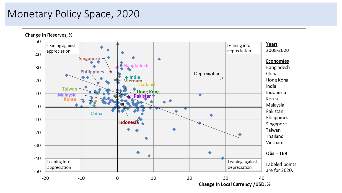## Monetary Policy Space, 2020

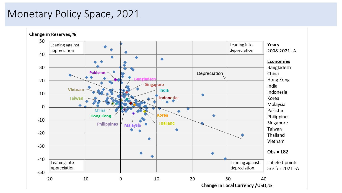### Monetary Policy Space, 2021